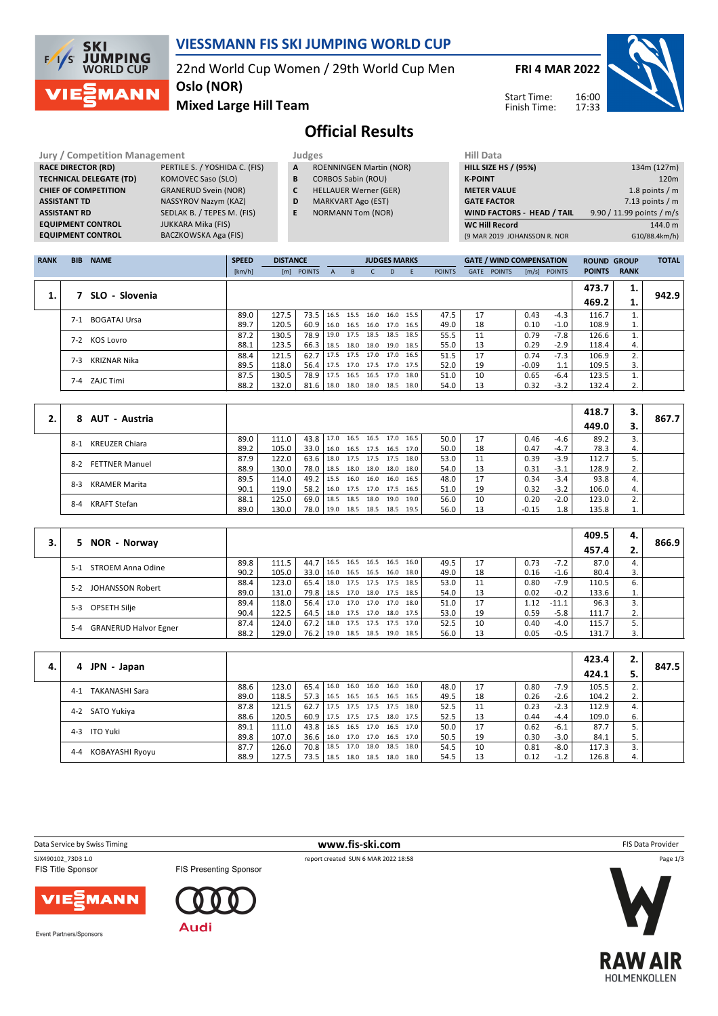

## **VIESSMANN FIS SKI JUMPING WORLD CUP**

22nd World Cup Women / 29th World Cup Men

**FRI 4 MAR 2022**

Start Time: Finish Time:



**Mixed Large Hill Team**

**Oslo (NOR)**

# **Official Results**

**Jury / Competition Management Judges Hill Data TECHNICAL DELEGATE (TD)** KOMOVEC Saso (SLO) **CHIEF OF COMPETITION** GRANERUD Svein (NOR) **ASSISTANT TD** NASSYROV Nazym (KAZ) **EQUIPMENT CONTROL**<br>**EQUIPMENT CONTROL** 

**RACE DIRECTOR (RD)** PERTILE S. / YOSHIDA C. (FIS) **ASSISTANT RD** SEDLAK B. / TEPES M. (FIS)<br>**EQUIPMENT CONTROL** JUKKARA Mika (FIS) **EXULTER CONTROL**<br>BACZKOWSKA Aga (FIS)

**A** ROENNINGEN Martin (NOR)

- **B** CORBOS Sabin (ROU)
- **C** HELLAUER Werner (GER)
- **D** MARKVART Ago (EST)
- **E** NORMANN Tom (NOR)

| нш рата                           |                           |
|-----------------------------------|---------------------------|
| <b>HILL SIZE HS / (95%)</b>       | 134m (127m)               |
| <b>K-POINT</b>                    | 120 <sub>m</sub>          |
| <b>METER VALUE</b>                | 1.8 points $/m$           |
| <b>GATE FACTOR</b>                | 7.13 points $/m$          |
| <b>WIND FACTORS - HEAD / TAIL</b> | 9.90 / 11.99 points / m/s |
| <b>WC Hill Record</b>             | 144.0 m                   |
| (9 MAR 2019 JOHANSSON R. NOR      | G10/88.4km/h)             |
|                                   |                           |

| <b>RANK</b> | <b>BIB</b> | <b>NAME</b>         | <b>SPEED</b> | <b>DISTANCE</b> |               |              |           | <b>JUDGES MARKS</b> |           |      |               |      | <b>GATE / WIND COMPENSATION</b> |         |                | <b>ROUND GROUP</b> |             | <b>TOTAL</b> |
|-------------|------------|---------------------|--------------|-----------------|---------------|--------------|-----------|---------------------|-----------|------|---------------|------|---------------------------------|---------|----------------|--------------------|-------------|--------------|
|             |            |                     | [km/h]       |                 | [m] POINTS    | $\mathsf{A}$ | B.        |                     | D         | E    | <b>POINTS</b> | GATE | <b>POINTS</b>                   |         | $[m/s]$ POINTS | <b>POINTS</b>      | <b>RANK</b> |              |
|             |            |                     |              |                 |               |              |           |                     |           |      |               |      |                                 |         |                | 473.7              | 1.          |              |
| 1.          |            | SLO - Slovenia      |              |                 |               |              |           |                     |           |      |               |      |                                 |         |                | 469.2              | 1.          | 942.9        |
|             | $7-1$      | <b>BOGATAJ Ursa</b> | 89.0         | 127.5           | 73.5          | 16.5         | 15.5 16.0 |                     | 16.0      | 15.5 | 47.5          | 17   |                                 | 0.43    | $-4.3$         | 116.7              |             |              |
|             |            |                     | 89.7         | 120.5           | 60.9          | 16.0         |           | 16.5 16.0 17.0      |           | 16.5 | 49.0          | 18   |                                 | 0.10    | $-1.0$         | 108.9              | 1.          |              |
|             | $7 - 2$    | KOS Lovro           | 87.2         | 130.5           | 78.9          | 19.0         | 17.5 18.5 |                     | 18.5      | 18.5 | 55.5          | 11   |                                 | 0.79    | $-7.8$         | 126.6              |             |              |
|             |            |                     | 88.1         | 123.5           | $66.3$   18.5 |              |           | 18.0 18.0           | 19.0 18.5 |      | 55.0          | 13   |                                 | 0.29    | $-2.9$         | 118.4              | 4.          |              |
|             | 7-3        | KRIZNAR Nika        | 88.4         | 121.5           | 62.7          | 17.5         | 17.5 17.0 |                     | 17.0      | 16.5 | 51.5          | 17   |                                 | 0.74    | $-7.3$         | 106.9              | 2.          |              |
|             |            |                     | 89.5         | 118.0           | 56.4          | 17.5         |           | 17.0 17.5 17.0      |           | 17.5 | 52.0          | 19   |                                 | $-0.09$ | 1.1            | 109.5              | 3.          |              |
|             |            | 7-4 ZAJC Timi       | 87.5         | 130.5           | 78.9 l        | 17.5         |           | 16.5 16.5           | 17.0      | 18.0 | 51.0          | 10   |                                 | 0.65    | $-6.4$         | 123.5              |             |              |
|             |            |                     | 88.2         | 132.0           | 81.6   18.0   |              | 18.0 18.0 |                     | 18.5      | 18.0 | 54.0          | 13   |                                 | 0.32    | $-3.2$         | 132.4              | 2.          |              |

|                               |      |       |      |      |      |                     |      |      |    |         |        | 418.7 | з. |       |
|-------------------------------|------|-------|------|------|------|---------------------|------|------|----|---------|--------|-------|----|-------|
| 8 AUT - Austria               |      |       |      |      |      |                     |      |      |    |         |        | 449.0 |    | 867.7 |
| KREUZER Chiara<br>$8-1$       | 89.0 | 111.0 | 43.8 | 17.0 |      | 16.5 16.5 17.0 16.5 |      | 50.0 | 17 | 0.46    | $-4.6$ | 89.2  | 3. |       |
|                               | 89.2 | 105.0 | 33.0 | 16.0 |      | 16.5 17.5 16.5 17.0 |      | 50.0 | 18 | 0.47    | $-4.7$ | 78.3  | 4. |       |
| 8-2 FETTNER Manuel            | 87.9 | 122.0 | 63.6 | 18.0 |      | 17.5 17.5 17.5 18.0 |      | 53.0 | 11 | 0.39    | $-3.9$ | 112.7 |    |       |
|                               | 88.9 | 130.0 | 78.0 | 18.5 |      | 18.0 18.0 18.0 18.0 |      | 54.0 | 13 | 0.31    | $-3.1$ | 128.9 | 2. |       |
| <b>KRAMER Marita</b><br>$8-3$ | 89.5 | 114.0 | 49.2 | 15.5 |      | 16.0 16.0 16.0 16.5 |      | 48.0 | 17 | 0.34    | $-3.4$ | 93.8  | 4. |       |
|                               | 90.1 | 119.0 | 58.2 | 16.0 |      | 17.5 17.0 17.5 16.5 |      | 51.0 | 19 | 0.32    | $-3.2$ | 106.0 | 4. |       |
| KRAFT Stefan                  | 88.1 | 125.0 | 69.0 | 18.5 | 18.5 | 18.0 19.0           | 19.0 | 56.0 | 10 | 0.20    | $-2.0$ | 123.0 | 2. |       |
| 8-4                           | 89.0 | 130.0 | 78.0 | 19.0 |      | 18.5 18.5 18.5 19.5 |      | 56.0 | 13 | $-0.15$ | 1.8    | 135.8 | 1. |       |

|    |                              |      |       |        |                     |           |                     |      |      |      |    |      |         | 409.5 | 4. |       |
|----|------------------------------|------|-------|--------|---------------------|-----------|---------------------|------|------|------|----|------|---------|-------|----|-------|
| 3. | 5 NOR - Norway               |      |       |        |                     |           |                     |      |      |      |    |      |         | 457.4 | z. | 866.9 |
|    | STROEM Anna Odine<br>$5-1$   | 89.8 | 111.5 | 44.7   | 16.5 16.5           |           | 16.5 16.5           |      | 16.0 | 49.5 | 17 | 0.73 | $-7.2$  | 87.0  | 4. |       |
|    |                              | 90.2 | 105.0 | 33.0   | 16.0                |           | 16.5 16.5           | 16.0 | 18.0 | 49.0 | 18 | 0.16 | $-1.6$  | 80.4  | 3. |       |
|    | JOHANSSON Robert<br>$5-2$    | 88.4 | 123.0 | 65.4   | 18.0                |           | 17.5 17.5 17.5      |      | 18.5 | 53.0 | 11 | 0.80 | $-7.9$  | 110.5 | 6. |       |
|    |                              | 89.0 | 131.0 | 79.8 l | 18.5 17.0 18.0 17.5 |           |                     |      | 18.5 | 54.0 | 13 | 0.02 | $-0.2$  | 133.6 | ⊥. |       |
|    | OPSETH Silje<br>$5-3$        | 89.4 | 118.0 | 56.4   | 17.0                |           | 17.0 17.0 17.0      |      | 18.0 | 51.0 | 17 | 1.12 | $-11.1$ | 96.3  |    |       |
|    |                              | 90.4 | 122.5 | 64.5   | 18.0                |           | 17.5 17.0 18.0 17.5 |      |      | 53.0 | 19 | 0.59 | $-5.8$  | 111.7 | 2. |       |
|    | $5 - 4$                      | 87.4 | 124.0 | 67.2   | 18.0                | 17.5 17.5 |                     | 17.5 | 17.0 | 52.5 | 10 | 0.40 | -4.0    | 115.7 |    |       |
|    | <b>GRANERUD Halvor Egner</b> | 88.2 | 129.0 | 76.2   | 19.0                | 18.5 18.5 |                     | 19.0 | 18.5 | 56.0 | 13 | 0.05 | $-0.5$  | 131.7 |    |       |

|    |                                  |      |       |               |      |                     |           |      |      |      |    |      |        | 423.4 | 2. |       |
|----|----------------------------------|------|-------|---------------|------|---------------------|-----------|------|------|------|----|------|--------|-------|----|-------|
| 4. | 4 JPN - Japan                    |      |       |               |      |                     |           |      |      |      |    |      |        | 424.1 |    | 847.5 |
|    | <b>TAKANASHI Sara</b><br>$4 - 1$ | 88.6 | 123.0 | $65.4$   16.0 |      | 16.0                | 16.0      | 16.0 | 16.0 | 48.0 | 17 | 0.80 | $-7.9$ | 105.5 |    |       |
|    |                                  | 89.0 | 118.5 | 57.3          | 16.5 | 16.5 16.5 16.5      |           |      | 16.5 | 49.5 | 18 | 0.26 | $-2.6$ | 104.2 | 2. |       |
|    | 4-2 SATO Yukiya                  | 87.8 | 121.5 | 62.7          | 17.5 | 17.5 17.5 17.5      |           |      | 18.0 | 52.5 | 11 | 0.23 | $-2.3$ | 112.9 |    |       |
|    |                                  | 88.6 | 120.5 | 60.9          | 17.5 | 17.5 17.5 18.0      |           |      | 17.5 | 52.5 | 13 | 0.44 | $-4.4$ | 109.0 | 6. |       |
|    | 4-3 ITO Yuki                     | 89.1 | 111.0 | 43.8          | 16.5 | 16.5 17.0 16.5      |           |      | 17.0 | 50.0 | 17 | 0.62 | $-6.1$ | 87.7  |    |       |
|    |                                  | 89.8 | 107.0 | 36.6          | 16.0 | 17.0 17.0 16.5 17.0 |           |      |      | 50.5 | 19 | 0.30 | $-3.0$ | 84.1  | 5. |       |
|    | KOBAYASHI Ryoyu<br>$4 - 4$       | 87.7 | 126.0 | 70.8          | 18.5 | 17.0                | 18.0 18.5 |      | 18.0 | 54.5 | 10 | 0.81 | -8.0   | 117.3 |    |       |
|    |                                  | 88.9 | 127.5 | 73.5 l        | 18.5 | 18.0 18.5 18.0      |           |      | 18.0 | 54.5 | 13 | 0.12 | $-1.2$ | 126.8 | 4. |       |

Data Service by Swiss Timing **WWW.fis-Ski.com www.fis-Ski.com WWW.fis-Ski.com FIS Data Provider** 

FIS Title Sponsor

SJX490102\_73D3 1.0 report created SUN 6 MAR 2022 18:58





Event Partners/Sponsors





FIS Presenting Sponsor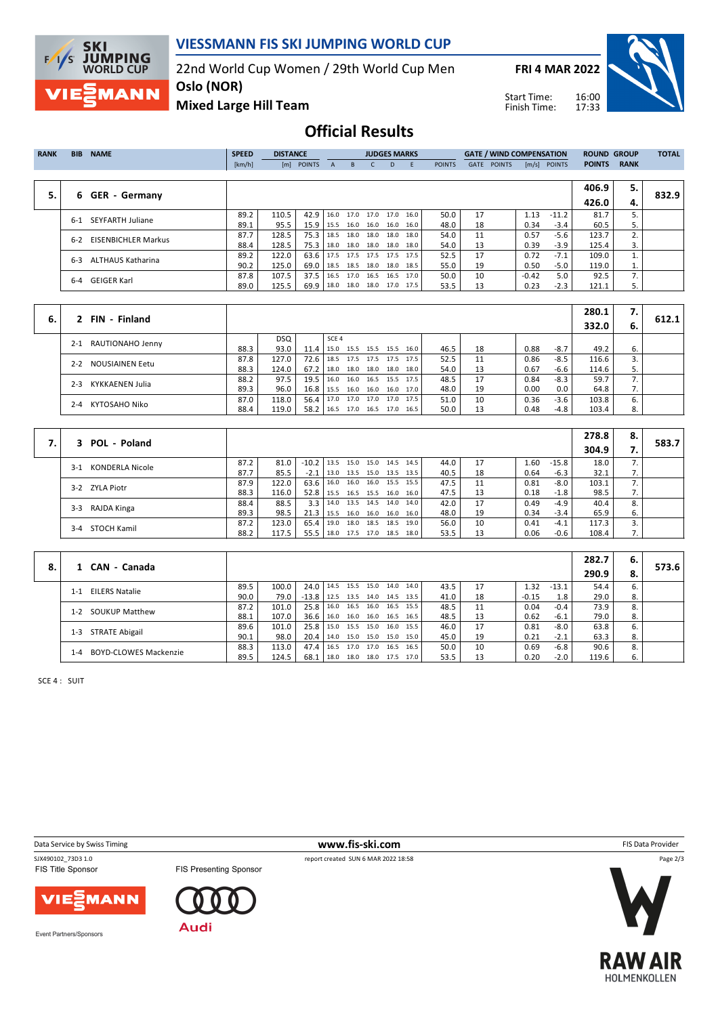

## **VIESSMANN FIS SKI JUMPING WORLD CUP**

22nd World Cup Women / 29th World Cup Men

**FRI 4 MAR 2022**



**Mixed Large Hill Team**

Start Time: Finish Time:

# **Official Results**

| <b>RANK</b> | <b>BIB</b> | <b>NAME</b>                | <b>SPEED</b> | <b>DISTANCE</b> |            |      |                | <b>JUDGES MARKS</b>      |      |      |               |      | <b>GATE / WIND COMPENSATION</b> |         |                | <b>ROUND GROUP</b> |             | <b>TOTAL</b> |
|-------------|------------|----------------------------|--------------|-----------------|------------|------|----------------|--------------------------|------|------|---------------|------|---------------------------------|---------|----------------|--------------------|-------------|--------------|
|             |            |                            | [km/h]       |                 | [m] POINTS | A    | B.             |                          | D.   | E    | <b>POINTS</b> | GATE | <b>POINTS</b>                   |         | $[m/s]$ POINTS | <b>POINTS</b>      | <b>RANK</b> |              |
|             |            |                            |              |                 |            |      |                |                          |      |      |               |      |                                 |         |                |                    |             |              |
|             |            |                            |              |                 |            |      |                |                          |      |      |               |      |                                 |         |                | 406.9              | 5.          |              |
| 5.          | 6          | <b>GER - Germany</b>       |              |                 |            |      |                |                          |      |      |               |      |                                 |         |                | 426.0              | 4.          | 832.9        |
|             | $6-1$      | <b>SEYFARTH Juliane</b>    | 89.2         | 110.5           | 42.9       |      | 16.0 17.0 17.0 |                          | 17.0 | 16.0 | 50.0          | 17   |                                 | 1.13    | $-11.2$        | 81.7               | 5.          |              |
|             |            |                            | 89.1         | 95.5            | 15.9       | 15.5 |                | 16.0 16.0                | 16.0 | 16.0 | 48.0          | 18   |                                 | 0.34    | $-3.4$         | 60.5               | 5.          |              |
|             | $6 - 2$    | <b>EISENBICHLER Markus</b> | 87.7         | 128.5           | 75.3       | 18.5 | 18.0           | 18.0                     | 18.0 | 18.0 | 54.0          | 11   |                                 | 0.57    | $-5.6$         | 123.7              | 2.          |              |
|             |            |                            | 88.4         | 128.5           | 75.3       | 18.0 |                | 18.0 18.0 18.0           |      | 18.0 | 54.0          | 13   |                                 | 0.39    | $-3.9$         | 125.4              | 3.          |              |
|             | $6 - 3$    | <b>ALTHAUS Katharina</b>   | 89.2         | 122.0           | 63.6       |      |                | 17.5 17.5 17.5 17.5      |      | 17.5 | 52.5          | 17   |                                 | 0.72    | $-7.1$         | 109.0              |             |              |
|             |            |                            | 90.2         | 125.0           | 69.0       |      |                | 18.5 18.5 18.0 18.0 18.5 |      |      | 55.0          | 19   |                                 | 0.50    | -5.0           | 119.0              | 1.          |              |
|             |            |                            | 87.8         | 107.5           | 37.5       | 16.5 | 17.0           | 16.5                     | 16.5 | 17.0 | 50.0          | 10   |                                 | $-0.42$ | 5.0            | 92.5               | 7.          |              |
|             | 6-4        | <b>GEIGER Karl</b>         | 89.0         | 125.5           | 69.9       |      |                | 18.0 18.0 18.0 17.0 17.5 |      |      | 53.5          | 13   |                                 | 0.23    | $-2.3$         | 121.1              | 5.          |              |
|             |            |                            |              |                 |            |      |                |                          |      |      |               |      |                                 |         |                |                    |             |              |

|    |                            |      |            |               |                                 |  |                     |      |      |    |      |        | 280.1 | $\overline{\phantom{a}}$ |       |
|----|----------------------------|------|------------|---------------|---------------------------------|--|---------------------|------|------|----|------|--------|-------|--------------------------|-------|
| 6. | FIN - Finland              |      |            |               |                                 |  |                     |      |      |    |      |        | 332.0 | - 6.                     | 612.1 |
|    | 2-1 RAUTIONAHO Jenny       |      | <b>DSQ</b> |               | SCE <sub>4</sub>                |  |                     |      |      |    |      |        |       |                          |       |
|    |                            | 88.3 | 93.0       | $11.4$   15.0 |                                 |  | 15.5 15.5 15.5      | 16.0 | 46.5 | 18 | 0.88 | $-8.7$ | 49.2  |                          |       |
|    | NOUSIAINEN Eetu<br>$2 - 2$ | 87.8 | 127.0      |               | 72.6   18.5 17.5 17.5 17.5 17.5 |  |                     |      | 52.5 | 11 | 0.86 | $-8.5$ | 116.6 |                          |       |
|    |                            | 88.3 | 124.0      | $67.2$ 18.0   |                                 |  | 18.0 18.0 18.0      | 18.0 | 54.0 | 13 | 0.67 | -6.6   | 114.6 |                          |       |
|    | KYKKAENEN Julia<br>$2 - 3$ | 88.2 | 97.5       | $19.5$   16.0 |                                 |  | 16.0 16.5 15.5 17.5 |      | 48.5 | 17 | 0.84 | $-8.3$ | 59.7  |                          |       |
|    |                            | 89.3 | 96.0       |               | 16.8   15.5 16.0 16.0 16.0 17.0 |  |                     |      | 48.0 | 19 | 0.00 | 0.0    | 64.8  |                          |       |
|    | KYTOSAHO Niko<br>$2 - 4$   | 87.0 | 118.0      | $56.4$ 17.0   |                                 |  | 17.0 17.0 17.0 17.5 |      | 51.0 | 10 | 0.36 | $-3.6$ | 103.8 |                          |       |
|    |                            | 88.4 | 119.0      | $58.2$   16.5 |                                 |  | 17.0 16.5 17.0      | 16.5 | 50.0 | 13 | 0.48 | $-4.8$ | 103.4 |                          |       |

| 3 POL - Poland                  |      |       |                |                     |                     |      |      |    |      |         | 278.8 | 8. | 583.7 |
|---------------------------------|------|-------|----------------|---------------------|---------------------|------|------|----|------|---------|-------|----|-------|
|                                 |      |       |                |                     |                     |      |      |    |      |         | 304.9 |    |       |
| <b>KONDERLA Nicole</b><br>$3-1$ | 87.2 | 81.0  | $-10.2$ 13.5   |                     | 15.0 15.0 14.5      | 14.5 | 44.0 | 17 | 1.60 | $-15.8$ | 18.0  |    |       |
|                                 | 87.7 | 85.5  | $-2.1$         | 13.0                | 13.5 15.0 13.5 13.5 |      | 40.5 | 18 | 0.64 | $-6.3$  | 32.1  | 7. |       |
| 3-2 ZYLA Piotr                  | 87.9 | 122.0 | 63.6           | 16.0                | 16.0 16.0 15.5      | 15.5 | 47.5 | 11 | 0.81 | $-8.0$  | 103.1 |    |       |
|                                 | 88.3 | 116.0 | 52.8           | l 15.5              | 16.5 15.5 16.0      | 16.0 | 47.5 | 13 | 0.18 | -1.8    | 98.5  | 7. |       |
| RAJDA Kinga<br>$3-3$            | 88.4 | 88.5  | $3.3 \text{ }$ | 14.0 13.5 14.5 14.0 |                     | 14.0 | 42.0 | 17 | 0.49 | $-4.9$  | 40.4  | 8. |       |
|                                 | 89.3 | 98.5  | 21.3           | 15.5                | 16.0 16.0 16.0      | 16.0 | 48.0 | 19 | 0.34 | $-3.4$  | 65.9  | 6. |       |
| 3-4 STOCH Kamil                 | 87.2 | 123.0 | 65.4           | 19.0                | 18.0 18.5 18.5      | 19.0 | 56.0 | 10 | 0.41 | $-4.1$  | 117.3 |    |       |
|                                 | 88.2 | 117.5 | 55.5           | 18.0                | 17.5 17.0 18.5      | 18.0 | 53.5 | 13 | 0.06 | $-0.6$  | 108.4 | 7. |       |

|    |                                         |      |       |                                 |                       |                          |      |      |      |    |         |         | 282.7 | 6. |       |
|----|-----------------------------------------|------|-------|---------------------------------|-----------------------|--------------------------|------|------|------|----|---------|---------|-------|----|-------|
| 8. | CAN - Canada                            |      |       |                                 |                       |                          |      |      |      |    |         |         | 290.9 | 8. | 573.6 |
|    | <b>EILERS Natalie</b><br>$1 - 1$        | 89.5 | 100.0 | 24.0   14.5 15.5 15.0 14.0 14.0 |                       |                          |      |      | 43.5 | 17 | 1.32    | $-13.1$ | 54.4  | 6. |       |
|    |                                         | 90.0 | 79.0  | $-13.8$                         | l 12.5                | 13.5 14.0 14.5           |      | 13.5 | 41.0 | 18 | $-0.15$ | 1.8     | 29.0  | 8. |       |
|    | <b>SOUKUP Matthew</b><br>$1 - 2$        | 87.2 | 101.0 | 25.8                            |                       | 16.0 16.5 16.0 16.5 15.5 |      |      | 48.5 | 11 | 0.04    | $-0.4$  | 73.9  | 8. |       |
|    |                                         | 88.1 | 107.0 | 36.6 l                          | $16.0$ 16.0 16.0 16.5 |                          |      | 16.5 | 48.5 | 13 | 0.62    | $-6.1$  | 79.0  | 8. |       |
|    | <b>STRATE Abigail</b><br>1-3            | 89.6 | 101.0 | 25.8                            | 15.0 15.5 15.0        |                          | 16.0 | 15.5 | 46.0 | 17 | 0.81    | $-8.0$  | 63.8  | 6. |       |
|    |                                         | 90.1 | 98.0  | 20.4                            |                       | 14.0 15.0 15.0 15.0      |      | 15.0 | 45.0 | 19 | 0.21    | $-2.1$  | 63.3  | 8. |       |
|    | <b>BOYD-CLOWES Mackenzie</b><br>$1 - 4$ | 88.3 | 113.0 | 47.4                            | 16.5                  | 17.0 17.0                | 16.5 | 16.5 | 50.0 | 10 | 0.69    | $-6.8$  | 90.6  | 8. |       |
|    |                                         | 89.5 | 124.5 | 68.1                            | 18.0                  | 18.0 18.0 17.5           |      | 17.0 | 53.5 | 13 | 0.20    | $-2.0$  | 119.6 | 6. |       |

SCE 4 : SUIT

SJX490102\_73D3 1.0 report created SUN 6 MAR 2022 18:58<br>FIS Title Sponsor FIS Presenting Sponsor

**Data Service by Swiss Timing** FIS Data Provider

Page 2/3

MANN /IE)



Event Partners/Sponsors